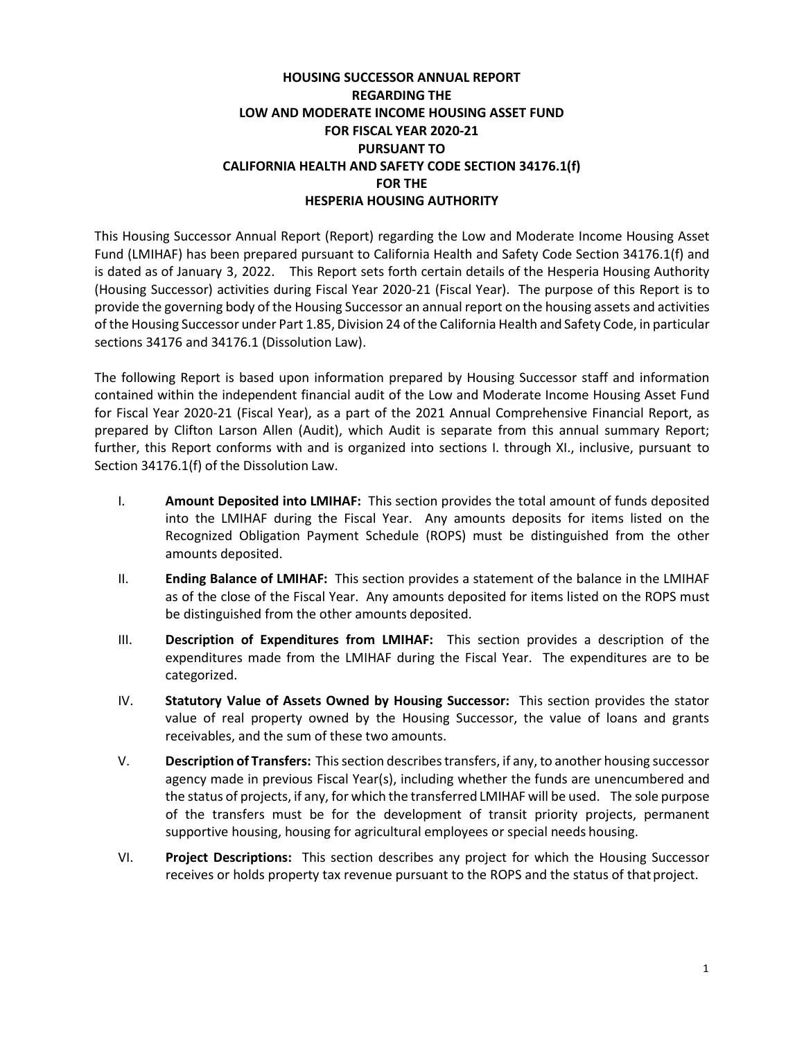# **HOUSING SUCCESSOR ANNUAL REPORT REGARDING THE LOW AND MODERATE INCOME HOUSING ASSET FUND FOR FISCAL YEAR 2020-21 PURSUANT TO CALIFORNIA HEALTH AND SAFETY CODE SECTION 34176.1(f) FOR THE HESPERIA HOUSING AUTHORITY**

This Housing Successor Annual Report (Report) regarding the Low and Moderate Income Housing Asset Fund (LMIHAF) has been prepared pursuant to California Health and Safety Code Section 34176.1(f) and is dated as of January 3, 2022. This Report sets forth certain details of the Hesperia Housing Authority (Housing Successor) activities during Fiscal Year 2020-21 (Fiscal Year). The purpose of this Report is to provide the governing body of the Housing Successor an annual report on the housing assets and activities of the Housing Successor under Part 1.85, Division 24 of the California Health and Safety Code, in particular sections 34176 and 34176.1 (Dissolution Law).

The following Report is based upon information prepared by Housing Successor staff and information contained within the independent financial audit of the Low and Moderate Income Housing Asset Fund for Fiscal Year 2020-21 (Fiscal Year), as a part of the 2021 Annual Comprehensive Financial Report, as prepared by Clifton Larson Allen (Audit), which Audit is separate from this annual summary Report; further, this Report conforms with and is organized into sections I. through XI., inclusive, pursuant to Section 34176.1(f) of the Dissolution Law.

- I. **Amount Deposited into LMIHAF:** This section provides the total amount of funds deposited into the LMIHAF during the Fiscal Year. Any amounts deposits for items listed on the Recognized Obligation Payment Schedule (ROPS) must be distinguished from the other amounts deposited.
- II. **Ending Balance of LMIHAF:** This section provides a statement of the balance in the LMIHAF as of the close of the Fiscal Year. Any amounts deposited for items listed on the ROPS must be distinguished from the other amounts deposited.
- III. **Description of Expenditures from LMIHAF:** This section provides a description of the expenditures made from the LMIHAF during the Fiscal Year. The expenditures are to be categorized.
- IV. **Statutory Value of Assets Owned by Housing Successor:** This section provides the stator value of real property owned by the Housing Successor, the value of loans and grants receivables, and the sum of these two amounts.
- V. **Description of Transfers:** Thissection describestransfers, if any,to another housing successor agency made in previous Fiscal Year(s), including whether the funds are unencumbered and the status of projects, if any, for which the transferred LMIHAF will be used. The sole purpose of the transfers must be for the development of transit priority projects, permanent supportive housing, housing for agricultural employees or special needs housing.
- VI. **Project Descriptions:** This section describes any project for which the Housing Successor receives or holds property tax revenue pursuant to the ROPS and the status of that project.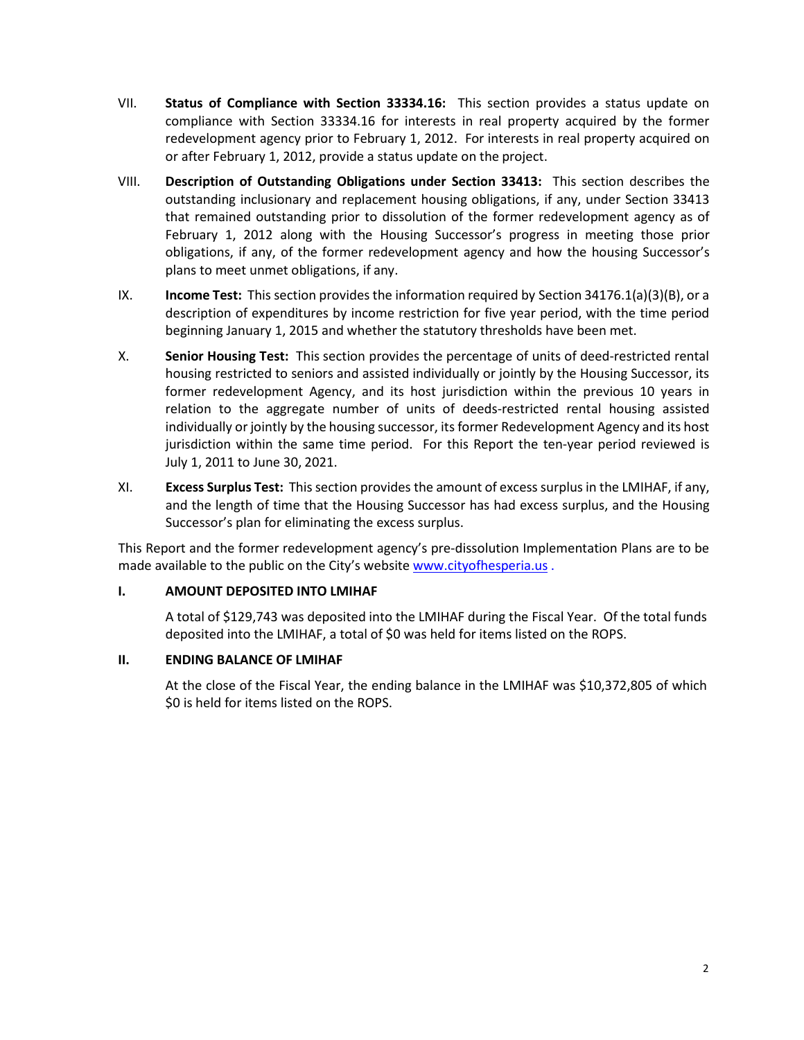- VII. **Status of Compliance with Section 33334.16:** This section provides a status update on compliance with Section 33334.16 for interests in real property acquired by the former redevelopment agency prior to February 1, 2012. For interests in real property acquired on or after February 1, 2012, provide a status update on the project.
- VIII. **Description of Outstanding Obligations under Section 33413:** This section describes the outstanding inclusionary and replacement housing obligations, if any, under Section 33413 that remained outstanding prior to dissolution of the former redevelopment agency as of February 1, 2012 along with the Housing Successor's progress in meeting those prior obligations, if any, of the former redevelopment agency and how the housing Successor's plans to meet unmet obligations, if any.
- IX. **Income Test:** This section provides the information required by Section 34176.1(a)(3)(B), or a description of expenditures by income restriction for five year period, with the time period beginning January 1, 2015 and whether the statutory thresholds have been met.
- X. **Senior Housing Test:** This section provides the percentage of units of deed-restricted rental housing restricted to seniors and assisted individually or jointly by the Housing Successor, its former redevelopment Agency, and its host jurisdiction within the previous 10 years in relation to the aggregate number of units of deeds-restricted rental housing assisted individually or jointly by the housing successor, its former Redevelopment Agency and its host jurisdiction within the same time period. For this Report the ten-year period reviewed is July 1, 2011 to June 30, 2021.
- XI. **Excess Surplus Test:** This section provides the amount of excess surplus in the LMIHAF, if any, and the length of time that the Housing Successor has had excess surplus, and the Housing Successor's plan for eliminating the excess surplus.

This Report and the former redevelopment agency's pre-dissolution Implementation Plans are to be made available to the public on the City's websit[e www.cityofhesperia.us](http://www.cityofhesperia.us/).

# **I. AMOUNT DEPOSITED INTO LMIHAF**

A total of \$129,743 was deposited into the LMIHAF during the Fiscal Year. Of the total funds deposited into the LMIHAF, a total of \$0 was held for items listed on the ROPS.

# **II. ENDING BALANCE OF LMIHAF**

At the close of the Fiscal Year, the ending balance in the LMIHAF was \$10,372,805 of which \$0 is held for items listed on the ROPS.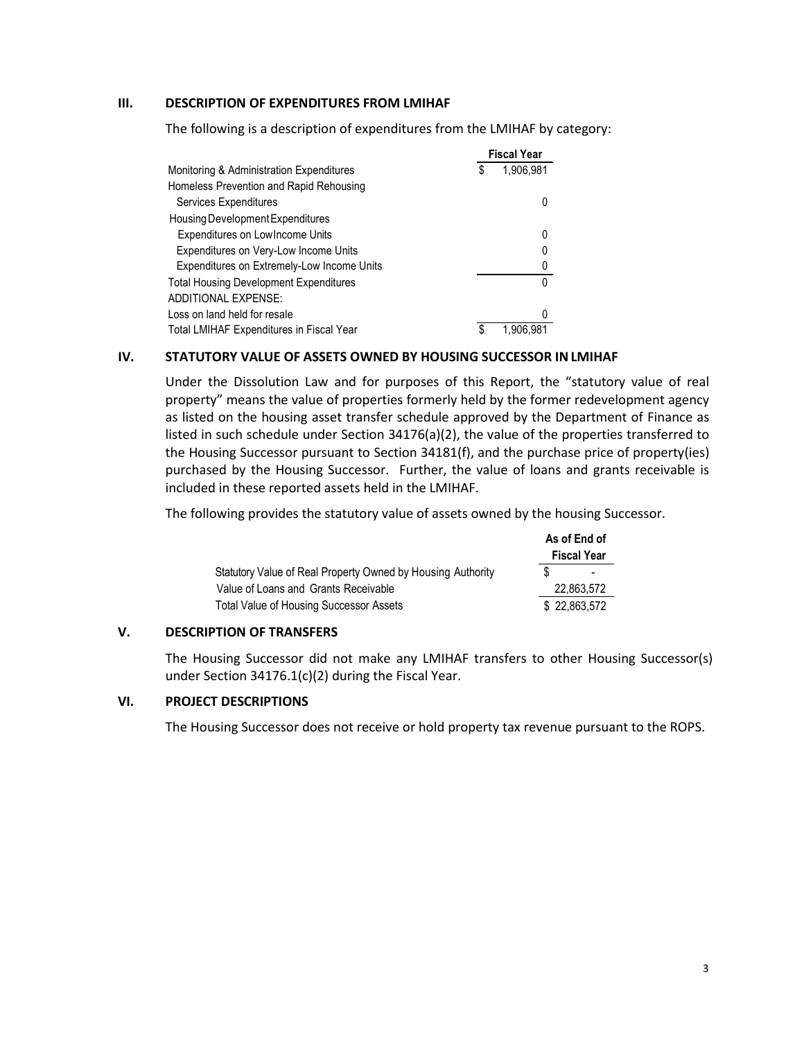### **III. DESCRIPTION OF EXPENDITURES FROM LMIHAF**

The following is a description of expenditures from the LMIHAF by category:

|                                               |    | <b>Fiscal Year</b> |
|-----------------------------------------------|----|--------------------|
| Monitoring & Administration Expenditures      | S  | 1,906,981          |
| Homeless Prevention and Rapid Rehousing       |    |                    |
| Services Expenditures                         |    |                    |
| Housing Development Expenditures              |    |                    |
| Expenditures on LowIncome Units               |    | 0                  |
| Expenditures on Very-Low Income Units         |    | 0                  |
| Expenditures on Extremely-Low Income Units    |    | 0                  |
| <b>Total Housing Development Expenditures</b> |    | $\Omega$           |
| ADDITIONAL EXPENSE:                           |    |                    |
| Loss on land held for resale                  |    | 0                  |
| Total LMIHAF Expenditures in Fiscal Year      | \$ | 1.906.981          |

#### **IV. STATUTORY VALUE OF ASSETS OWNED BY HOUSING SUCCESSOR INLMIHAF**

Under the Dissolution Law and for purposes of this Report, the "statutory value of real property" means the value of properties formerly held by the former redevelopment agency as listed on the housing asset transfer schedule approved by the Department of Finance as listed in such schedule under Section 34176(a)(2), the value of the properties transferred to the Housing Successor pursuant to Section 34181(f), and the purchase price of property(ies) purchased by the Housing Successor. Further, the value of loans and grants receivable is included in these reported assets held in the LMIHAF.

The following provides the statutory value of assets owned by the housing Successor.

|                                                             | As of End of<br><b>Fiscal Year</b> |              |
|-------------------------------------------------------------|------------------------------------|--------------|
| Statutory Value of Real Property Owned by Housing Authority | \$.                                | ٠            |
| Value of Loans and Grants Receivable                        | 22.863.572                         |              |
| <b>Total Value of Housing Successor Assets</b>              |                                    | \$22,863,572 |

#### **V. DESCRIPTION OF TRANSFERS**

The Housing Successor did not make any LMIHAF transfers to other Housing Successor(s) under Section 34176.1(c)(2) during the Fiscal Year.

### **VI. PROJECT DESCRIPTIONS**

The Housing Successor does not receive or hold property tax revenue pursuant to the ROPS.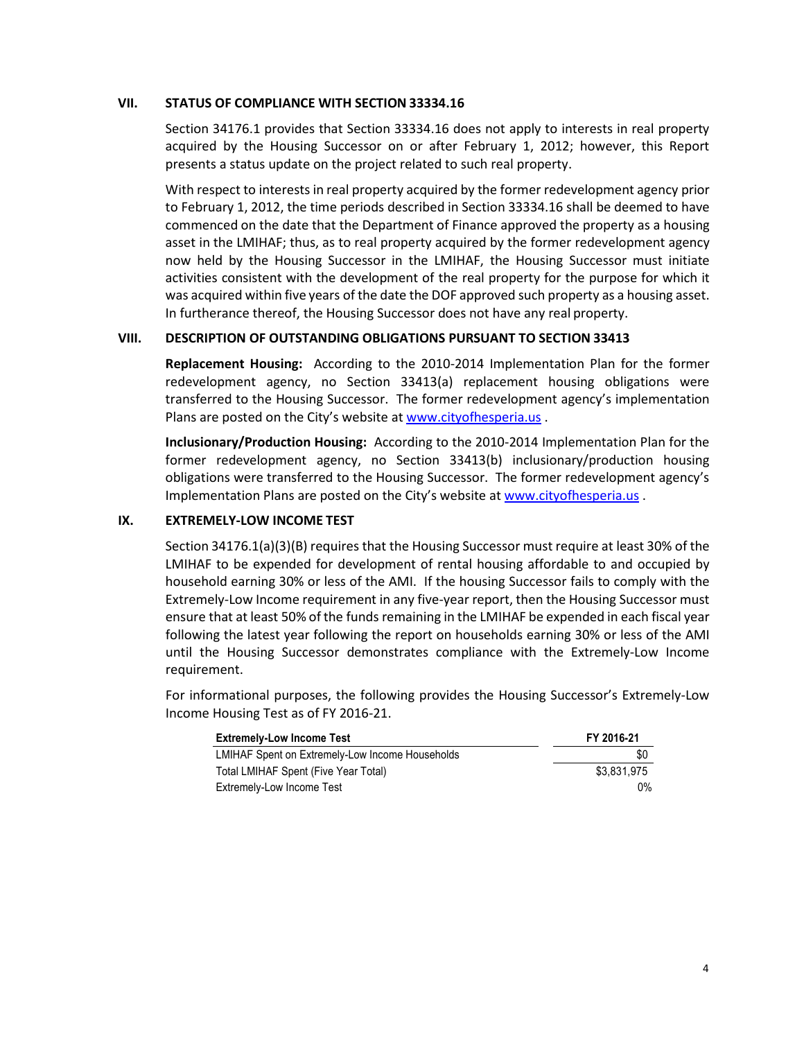### **VII. STATUS OF COMPLIANCE WITH SECTION 33334.16**

Section 34176.1 provides that Section 33334.16 does not apply to interests in real property acquired by the Housing Successor on or after February 1, 2012; however, this Report presents a status update on the project related to such real property.

With respect to interests in real property acquired by the former redevelopment agency prior to February 1, 2012, the time periods described in Section 33334.16 shall be deemed to have commenced on the date that the Department of Finance approved the property as a housing asset in the LMIHAF; thus, as to real property acquired by the former redevelopment agency now held by the Housing Successor in the LMIHAF, the Housing Successor must initiate activities consistent with the development of the real property for the purpose for which it was acquired within five years of the date the DOF approved such property as a housing asset. In furtherance thereof, the Housing Successor does not have any real property.

#### **VIII. DESCRIPTION OF OUTSTANDING OBLIGATIONS PURSUANT TO SECTION 33413**

**Replacement Housing:** According to the 2010-2014 Implementation Plan for the former redevelopment agency, no Section 33413(a) replacement housing obligations were transferred to the Housing Successor. The former redevelopment agency's implementation Plans are posted on the City's website a[t www.cityofhesperia.us](http://www.cityofhesperia.us/).

**Inclusionary/Production Housing:** According to the 2010-2014 Implementation Plan for the former redevelopment agency, no Section 33413(b) inclusionary/production housing obligations were transferred to the Housing Successor. The former redevelopment agency's Implementation Plans are posted on the City's website at [www.cityofhesperia.us](http://www.cityofhesperia.us/) .

# **IX. EXTREMELY-LOW INCOME TEST**

Section 34176.1(a)(3)(B) requires that the Housing Successor must require at least 30% of the LMIHAF to be expended for development of rental housing affordable to and occupied by household earning 30% or less of the AMI. If the housing Successor fails to comply with the Extremely-Low Income requirement in any five-year report, then the Housing Successor must ensure that at least 50% of the funds remaining in the LMIHAF be expended in each fiscal year following the latest year following the report on households earning 30% or less of the AMI until the Housing Successor demonstrates compliance with the Extremely-Low Income requirement.

For informational purposes, the following provides the Housing Successor's Extremely-Low Income Housing Test as of FY 2016-21.

| <b>Extremely-Low Income Test</b>                | FY 2016-21  |
|-------------------------------------------------|-------------|
| LMIHAF Spent on Extremely-Low Income Households | \$C         |
| Total LMIHAF Spent (Five Year Total)            | \$3.831.975 |
| Extremely-Low Income Test                       | 0%          |